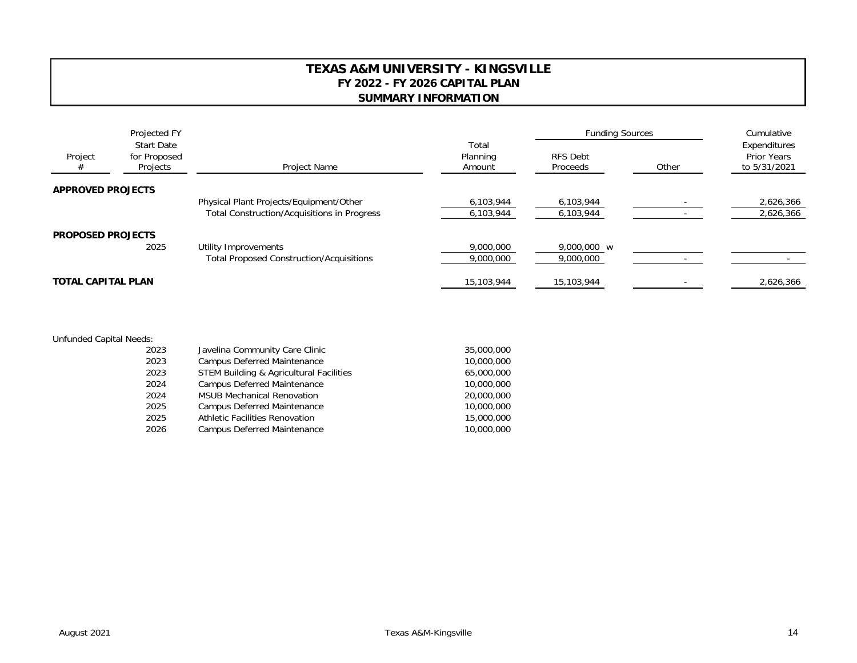## **TEXAS A&M UNIVERSITY - KINGSVILLE FY 2022 - FY 2026 CAPITAL PLAN SUMMARY INFORMATION**

|                           | Projected FY<br><b>Start Date</b><br>Project<br>for Proposed<br>Projects | Project Name                                    |                             | <b>Funding Sources</b>      |           | Cumulative                                         |
|---------------------------|--------------------------------------------------------------------------|-------------------------------------------------|-----------------------------|-----------------------------|-----------|----------------------------------------------------|
|                           |                                                                          |                                                 | Total<br>Planning<br>Amount | <b>RFS Debt</b><br>Proceeds | Other     | Expenditures<br><b>Prior Years</b><br>to 5/31/2021 |
| <b>APPROVED PROJECTS</b>  |                                                                          |                                                 |                             |                             |           |                                                    |
|                           |                                                                          | Physical Plant Projects/Equipment/Other         | 6,103,944                   | 6,103,944                   |           | 2,626,366                                          |
|                           |                                                                          | Total Construction/Acquisitions in Progress     | 6,103,944                   | 6,103,944                   |           | 2,626,366                                          |
| <b>PROPOSED PROJECTS</b>  |                                                                          |                                                 |                             |                             |           |                                                    |
|                           | 2025                                                                     | Utility Improvements                            | 9,000,000                   | 9,000,000 w                 |           |                                                    |
|                           |                                                                          | <b>Total Proposed Construction/Acquisitions</b> | 9,000,000                   | 9,000,000                   |           |                                                    |
| <b>TOTAL CAPITAL PLAN</b> |                                                                          | 15,103,944                                      | 15,103,944                  |                             | 2,626,366 |                                                    |

## Unfunded Capital Needs:

| 2023 | Javelina Community Care Clinic                     | 35,000,000 |
|------|----------------------------------------------------|------------|
| 2023 | Campus Deferred Maintenance                        | 10,000,000 |
| 2023 | <b>STEM Building &amp; Agricultural Facilities</b> | 65,000,000 |
| 2024 | Campus Deferred Maintenance                        | 10,000,000 |
| 2024 | <b>MSUB Mechanical Renovation</b>                  | 20,000,000 |
| 2025 | <b>Campus Deferred Maintenance</b>                 | 10,000,000 |
| 2025 | Athletic Facilities Renovation                     | 15,000,000 |
| 2026 | Campus Deferred Maintenance                        | 10,000,000 |
|      |                                                    |            |